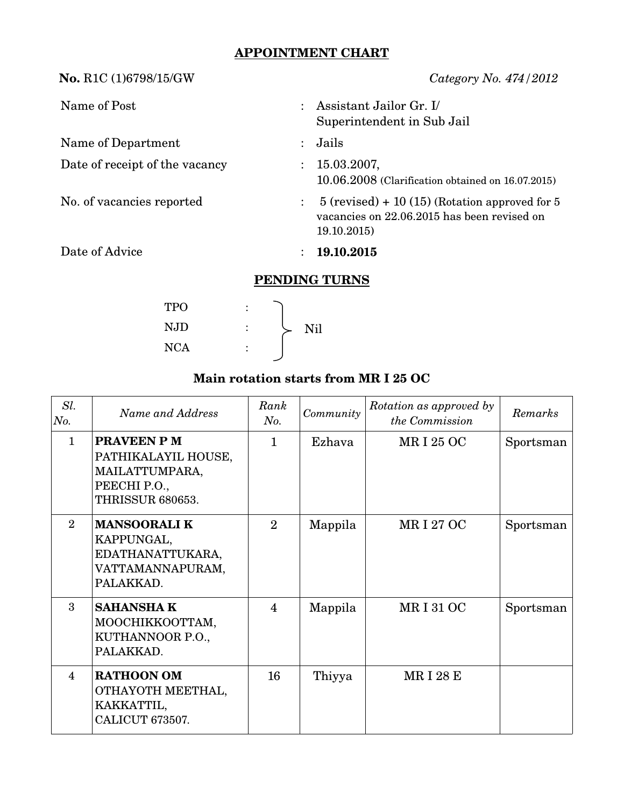## **APPOINTMENT CHART**

**No.** R1C (1)6798/15/GW *Category No. 474/2012* Name of Post : Assistant Jailor Gr. I/ Superintendent in Sub Jail Name of Department : Jails Date of receipt of the vacancy : 15.03.2007, 10.06.2008 (Clarification obtained on 16.07.2015) No. of vacancies reported : 5 (revised) + 10 (15) (Rotation approved for 5 vacancies on 22.06.2015 has been revised on 19.10.2015) Date of Advice : **19.10.2015 PENDING TURNS** TPO :

| Main rotation starts from MR I 25 OC |  |  |  |  |
|--------------------------------------|--|--|--|--|
|--------------------------------------|--|--|--|--|

NJD :  $\searrow$  Nil

NCA :

| Sl.<br>No.     | Name and Address                                                                               | Rank<br>No.    | Community | Rotation as approved by<br>the Commission | Remarks   |
|----------------|------------------------------------------------------------------------------------------------|----------------|-----------|-------------------------------------------|-----------|
| $\mathbf{1}$   | <b>PRAVEEN PM</b><br>PATHIKALAYIL HOUSE,<br>MAILATTUMPARA,<br>PEECHI P.O.,<br>THRISSUR 680653. | 1              | Ezhava    | <b>MRI 25 OC</b>                          | Sportsman |
| $\overline{2}$ | <b>MANSOORALIK</b><br>KAPPUNGAL,<br>EDATHANATTUKARA,<br>VATTAMANNAPURAM,<br>PALAKKAD.          | $\mathfrak{D}$ | Mappila   | MR I 27 OC                                | Sportsman |
| 3              | <b>SAHANSHAK</b><br>МООСНІККООТТАМ,<br>KUTHANNOOR P.O.,<br>PALAKKAD.                           | 4              | Mappila   | <b>MRI310C</b>                            | Sportsman |
| $\overline{4}$ | <b>RATHOON OM</b><br>OTHAYOTH MEETHAL,<br>KAKKATTIL,<br>CALICUT 673507.                        | 16             | Thiyya    | <b>MRI28E</b>                             |           |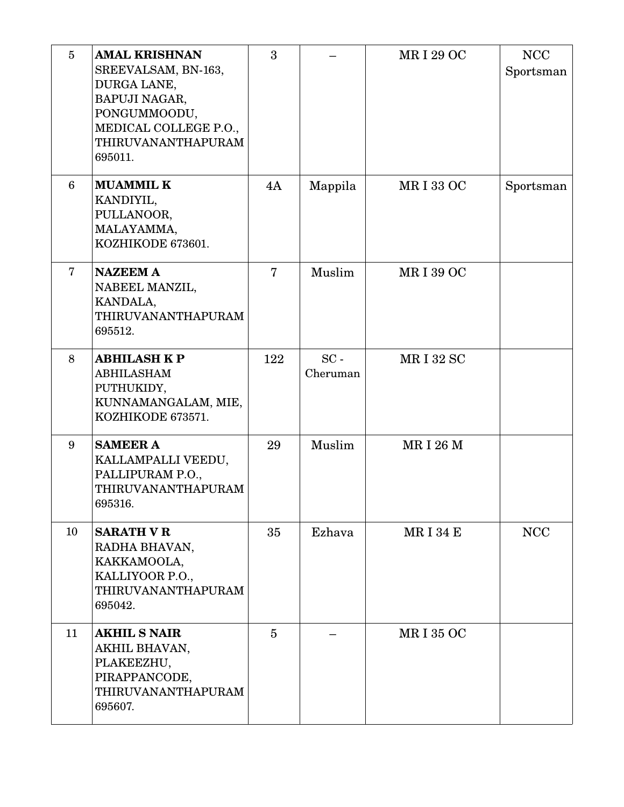| $5\overline{)}$ | <b>AMAL KRISHNAN</b><br>SREEVALSAM, BN-163,<br>DURGA LANE,<br>BAPUJI NAGAR,<br>PONGUMMOODU,<br>MEDICAL COLLEGE P.O.,<br>THIRUVANANTHAPURAM<br>695011. | 3              |                    | <b>MRI 29 OC</b> | <b>NCC</b><br>Sportsman |
|-----------------|-------------------------------------------------------------------------------------------------------------------------------------------------------|----------------|--------------------|------------------|-------------------------|
| 6               | <b>MUAMMIL K</b><br>KANDIYIL,<br>PULLANOOR,<br>MALAYAMMA,<br>KOZHIKODE 673601.                                                                        | 4A             | Mappila            | <b>MRI33 OC</b>  | Sportsman               |
| 7               | <b>NAZEEM A</b><br>NABEEL MANZIL,<br>KANDALA,<br>THIRUVANANTHAPURAM<br>695512.                                                                        | $\overline{7}$ | Muslim             | <b>MRI39 OC</b>  |                         |
| 8               | <b>ABHILASH K P</b><br><b>ABHILASHAM</b><br>PUTHUKIDY,<br>KUNNAMANGALAM, MIE,<br>KOZHIKODE 673571.                                                    | 122            | $SC -$<br>Cheruman | <b>MRI32 SC</b>  |                         |
| 9               | <b>SAMEER A</b><br>KALLAMPALLI VEEDU,<br>PALLIPURAM P.O.,<br>THIRUVANANTHAPURAM<br>695316.                                                            | 29             | Muslim             | <b>MRI 26 M</b>  |                         |
| 10              | <b>SARATH V R</b><br>RADHA BHAVAN,<br>KAKKAMOOLA,<br>KALLIYOOR P.O.,<br>THIRUVANANTHAPURAM<br>695042.                                                 | 35             | Ezhava             | <b>MRI34E</b>    | <b>NCC</b>              |
| 11              | <b>AKHIL S NAIR</b><br>AKHIL BHAVAN,<br>PLAKEEZHU,<br>PIRAPPANCODE,<br>THIRUVANANTHAPURAM<br>695607.                                                  | $\overline{5}$ |                    | <b>MRI 35 OC</b> |                         |